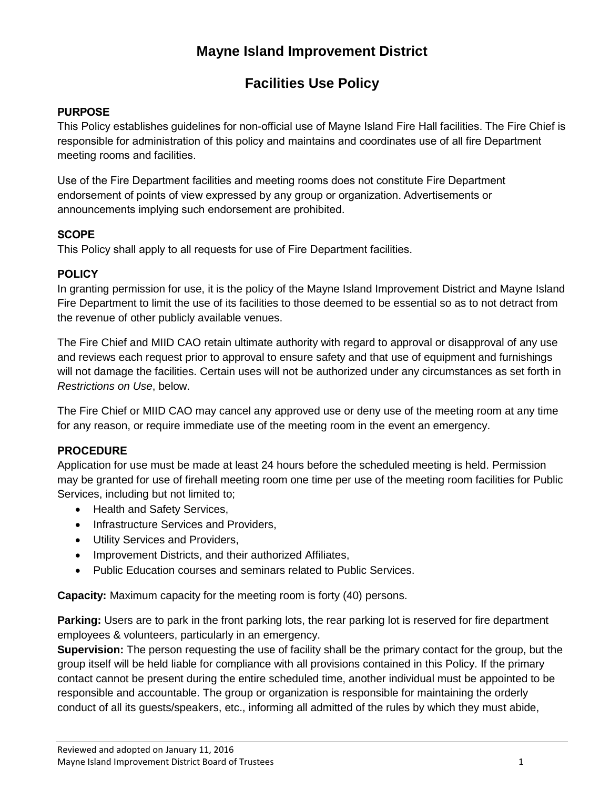# **Mayne Island Improvement District**

# **Facilities Use Policy**

### **PURPOSE**

This Policy establishes guidelines for non-official use of Mayne Island Fire Hall facilities. The Fire Chief is responsible for administration of this policy and maintains and coordinates use of all fire Department meeting rooms and facilities.

Use of the Fire Department facilities and meeting rooms does not constitute Fire Department endorsement of points of view expressed by any group or organization. Advertisements or announcements implying such endorsement are prohibited.

#### **SCOPE**

This Policy shall apply to all requests for use of Fire Department facilities.

### **POLICY**

In granting permission for use, it is the policy of the Mayne Island Improvement District and Mayne Island Fire Department to limit the use of its facilities to those deemed to be essential so as to not detract from the revenue of other publicly available venues.

The Fire Chief and MIID CAO retain ultimate authority with regard to approval or disapproval of any use and reviews each request prior to approval to ensure safety and that use of equipment and furnishings will not damage the facilities. Certain uses will not be authorized under any circumstances as set forth in *Restrictions on Use*, below.

The Fire Chief or MIID CAO may cancel any approved use or deny use of the meeting room at any time for any reason, or require immediate use of the meeting room in the event an emergency.

#### **PROCEDURE**

Application for use must be made at least 24 hours before the scheduled meeting is held. Permission may be granted for use of firehall meeting room one time per use of the meeting room facilities for Public Services, including but not limited to;

- Health and Safety Services,
- Infrastructure Services and Providers,
- Utility Services and Providers,
- Improvement Districts, and their authorized Affiliates,
- Public Education courses and seminars related to Public Services.

**Capacity:** Maximum capacity for the meeting room is forty (40) persons.

**Parking:** Users are to park in the front parking lots, the rear parking lot is reserved for fire department employees & volunteers, particularly in an emergency.

**Supervision:** The person requesting the use of facility shall be the primary contact for the group, but the group itself will be held liable for compliance with all provisions contained in this Policy. If the primary contact cannot be present during the entire scheduled time, another individual must be appointed to be responsible and accountable. The group or organization is responsible for maintaining the orderly conduct of all its guests/speakers, etc., informing all admitted of the rules by which they must abide,